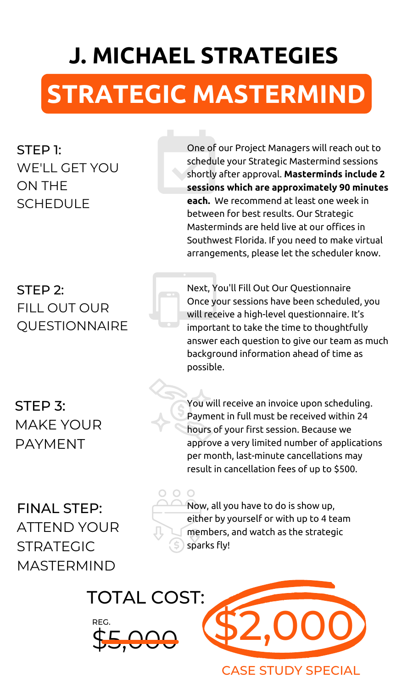# **STRATEGIC MASTERMIND**

## **J. MICHAEL STRATEGIES**

STEP 1: WE'LL GET YOU ON THE SCHEDULE

One of our Project Managers will reach out to schedule your Strategic Mastermind sessions shortly after approval. **Masterminds include 2 sessions which are approximately 90 minutes each.** We recommend at least one week in between for best results. Our Strategic Masterminds are held live at our offices in Southwest Florida. If you need to make virtual arrangements, please let the scheduler know.

### STEP 2: FILL OUT OUR QUESTIONNAIRE



Next, You'll Fill Out Our Questionnaire Once your sessions have been scheduled, you will receive a high-level questionnaire. It's important to take the time to thoughtfully answer each question to give our team as much background information ahead of time as possible.

### STEP 3: MAKE YOUR PAYMENT

You will receive an invoice upon scheduling. Payment in full must be received within 24 hours of your first session. Because we approve a very limited number of applications per month, last-minute cancellations may result in cancellation fees of up to \$500.

FINAL STEP: ATTEND YOUR STRATEGIC MASTERMIND

Now, all you have to do is show up, either by yourself or with up to 4 team members, and watch as the strategic sparks fly!

CASE STUDY SPECIAL